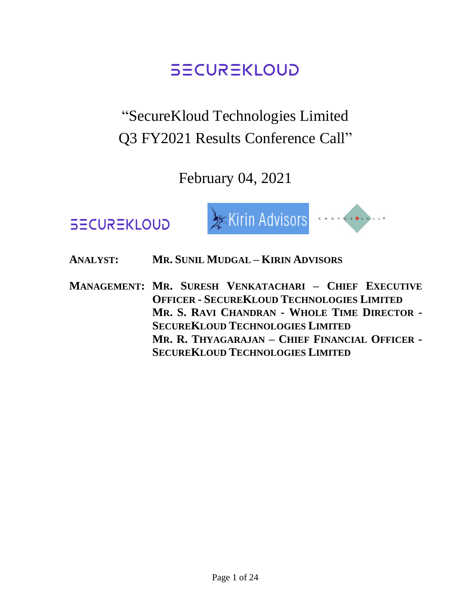# "SecureKloud Technologies Limited Q3 FY2021 Results Conference Call"

February 04, 2021





**ANALYST: MR. SUNIL MUDGAL – KIRIN ADVISORS**

**MANAGEMENT: MR. SURESH VENKATACHARI – CHIEF EXECUTIVE OFFICER - SECUREKLOUD TECHNOLOGIES LIMITED MR. S. RAVI CHANDRAN - WHOLE TIME DIRECTOR - SECUREKLOUD TECHNOLOGIES LIMITED MR. R. THYAGARAJAN – CHIEF FINANCIAL OFFICER - SECUREKLOUD TECHNOLOGIES LIMITED**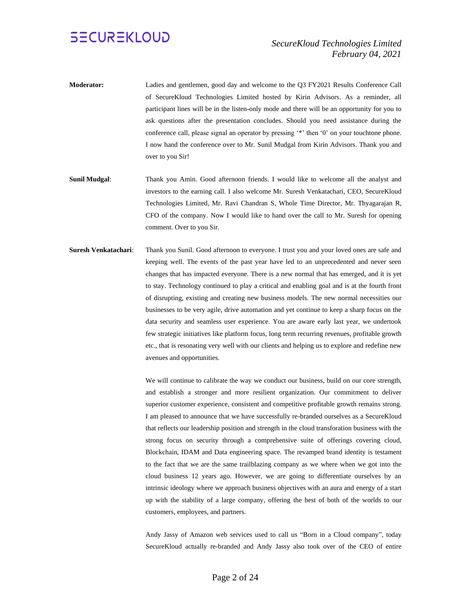- **Moderator:** Ladies and gentlemen, good day and welcome to the Q3 FY2021 Results Conference Call of SecureKloud Technologies Limited hosted by Kirin Advisors. As a reminder, all participant lines will be in the listen-only mode and there will be an opportunity for you to ask questions after the presentation concludes. Should you need assistance during the conference call, please signal an operator by pressing '\*' then '0' on your touchtone phone. I now hand the conference over to Mr. Sunil Mudgal from Kirin Advisors. Thank you and over to you Sir!
- **Sunil Mudgal**: Thank you Amin. Good afternoon friends. I would like to welcome all the analyst and investors to the earning call. I also welcome Mr. Suresh Venkatachari, CEO, SecureKloud Technologies Limited, Mr. Ravi Chandran S, Whole Time Director, Mr. Thyagarajan R, CFO of the company. Now I would like to hand over the call to Mr. Suresh for opening comment. Over to you Sir.
- **Suresh Venkatachari**: Thank you Sunil. Good afternoon to everyone. I trust you and your loved ones are safe and keeping well. The events of the past year have led to an unprecedented and never seen changes that has impacted everyone. There is a new normal that has emerged, and it is yet to stay. Technology continued to play a critical and enabling goal and is at the fourth front of disrupting, existing and creating new business models. The new normal necessities our businesses to be very agile, drive automation and yet continue to keep a sharp focus on the data security and seamless user experience. You are aware early last year, we undertook few strategic initiatives like platform focus, long term recurring revenues, profitable growth etc., that is resonating very well with our clients and helping us to explore and redefine new avenues and opportunities.

We will continue to calibrate the way we conduct our business, build on our core strength, and establish a stronger and more resilient organization. Our commitment to deliver superior customer experience, consistent and competitive profitable growth remains strong. I am pleased to announce that we have successfully re-branded ourselves as a SecureKloud that reflects our leadership position and strength in the cloud transforation business with the strong focus on security through a comprehensive suite of offerings covering cloud, Blockchain, IDAM and Data engineering space. The revamped brand identity is testament to the fact that we are the same trailblazing company as we where when we got into the cloud business 12 years ago. However, we are going to differentiate ourselves by an intrinsic ideology where we approach business objectives with an aura and energy of a start up with the stability of a large company, offering the best of both of the worlds to our customers, employees, and partners.

Andy Jassy of Amazon web services used to call us "Born in a Cloud company", today SecureKloud actually re-branded and Andy Jassy also took over of the CEO of entire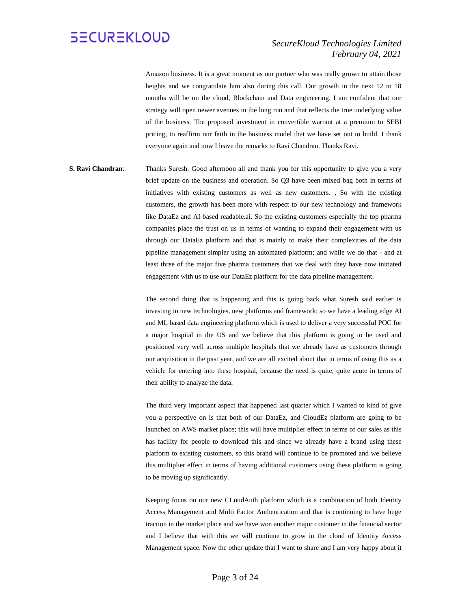#### *SecureKloud Technologies Limited February 04, 2021*

Amazon business. It is a great moment as our partner who was really grown to attain those heights and we congratulate him also during this call. Our growth in the next 12 to 18 months will be on the cloud, Blockchain and Data engineering. I am confident that our strategy will open newer avenues in the long run and that reflects the true underlying value of the business. The proposed investment in convertible warrant at a premium to SEBI pricing, to reaffirm our faith in the business model that we have set out to build. I thank everyone again and now I leave the remarks to Ravi Chandran. Thanks Ravi.

**S. Ravi Chandran:** Thanks Suresh. Good afternoon all and thank you for this opportunity to give you a very brief update on the business and operation. So Q3 have been mixed bag both in terms of initiatives with existing customers as well as new customers. , So with the existing customers, the growth has been more with respect to our new technology and framework like DataEz and AI based readable.ai. So the existing customers especially the top pharma companies place the trust on us in terms of wanting to expand their engagement with us through our DataEz platform and that is mainly to make their complexities of the data pipeline management simpler using an automated platform; and while we do that - and at least three of the major five pharma customers that we deal with they have now initiated engagement with us to use our DataEz platform for the data pipeline management.

> The second thing that is happening and this is going back what Suresh said earlier is investing in new technologies, new platforms and framework; so we have a leading edge AI and ML based data engineering platform which is used to deliver a very successful POC for a major hospital in the US and we believe that this platform is going to be used and positioned very well across multiple hospitals that we already have as customers through our acquisition in the past year, and we are all excited about that in terms of using this as a vehicle for entering into these hospital, because the need is quite, quite acute in terms of their ability to analyze the data.

> The third very important aspect that happened last quarter which I wanted to kind of give you a perspective on is that both of our DataEz, and CloudEz platform are going to be launched on AWS market place; this will have multiplier effect in terms of our sales as this has facility for people to download this and since we already have a brand using these platform to existing customers, so this brand will continue to be promoted and we believe this multiplier effect in terms of having additional customers using these platform is going to be moving up significantly.

> Keeping focus on our new CLoudAuth platform which is a combination of both Identity Access Management and Multi Factor Authentication and that is continuing to have huge traction in the market place and we have won another major customer in the financial sector and I believe that with this we will continue to grow in the cloud of Identity Access Management space. Now the other update that I want to share and I am very happy about it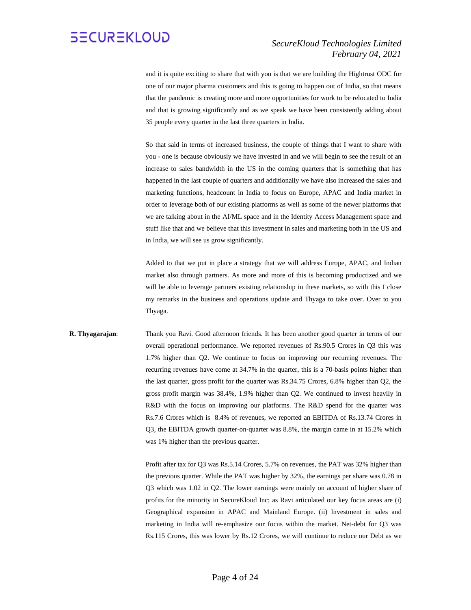#### *SecureKloud Technologies Limited February 04, 2021*

and it is quite exciting to share that with you is that we are building the Hightrust ODC for one of our major pharma customers and this is going to happen out of India, so that means that the pandemic is creating more and more opportunities for work to be relocated to India and that is growing significantly and as we speak we have been consistently adding about 35 people every quarter in the last three quarters in India.

So that said in terms of increased business, the couple of things that I want to share with you - one is because obviously we have invested in and we will begin to see the result of an increase to sales bandwidth in the US in the coming quarters that is something that has happened in the last couple of quarters and additionally we have also increased the sales and marketing functions, headcount in India to focus on Europe, APAC and India market in order to leverage both of our existing platforms as well as some of the newer platforms that we are talking about in the AI/ML space and in the Identity Access Management space and stuff like that and we believe that this investment in sales and marketing both in the US and in India, we will see us grow significantly.

Added to that we put in place a strategy that we will address Europe, APAC, and Indian market also through partners. As more and more of this is becoming productized and we will be able to leverage partners existing relationship in these markets, so with this I close my remarks in the business and operations update and Thyaga to take over. Over to you Thyaga.

#### **R. Thyagarajan**: Thank you Ravi. Good afternoon friends. It has been another good quarter in terms of our overall operational performance. We reported revenues of Rs.90.5 Crores in Q3 this was 1.7% higher than Q2. We continue to focus on improving our recurring revenues. The recurring revenues have come at 34.7% in the quarter, this is a 70-basis points higher than the last quarter, gross profit for the quarter was Rs.34.75 Crores, 6.8% higher than Q2, the gross profit margin was 38.4%, 1.9% higher than Q2. We continued to invest heavily in R&D with the focus on improving our platforms. The R&D spend for the quarter was Rs.7.6 Crores which is 8.4% of revenues, we reported an EBITDA of Rs.13.74 Crores in Q3, the EBITDA growth quarter-on-quarter was 8.8%, the margin came in at 15.2% which was 1% higher than the previous quarter.

Profit after tax for Q3 was Rs.5.14 Crores, 5.7% on revenues, the PAT was 32% higher than the previous quarter. While the PAT was higher by 32%, the earnings per share was 0.78 in Q3 which was 1.02 in Q2. The lower earnings were mainly on account of higher share of profits for the minority in SecureKloud Inc; as Ravi articulated our key focus areas are (i) Geographical expansion in APAC and Mainland Europe. (ii) Investment in sales and marketing in India will re-emphasize our focus within the market. Net-debt for Q3 was Rs.115 Crores, this was lower by Rs.12 Crores, we will continue to reduce our Debt as we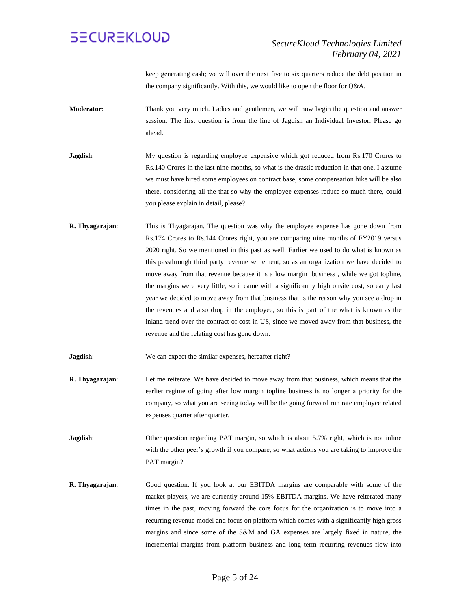

keep generating cash; we will over the next five to six quarters reduce the debt position in the company significantly. With this, we would like to open the floor for Q&A.

- **Moderator**: Thank you very much. Ladies and gentlemen, we will now begin the question and answer session. The first question is from the line of Jagdish an Individual Investor. Please go ahead.
- **Jagdish**: My question is regarding employee expensive which got reduced from Rs.170 Crores to Rs.140 Crores in the last nine months, so what is the drastic reduction in that one. I assume we must have hired some employees on contract base, some compensation hike will be also there, considering all the that so why the employee expenses reduce so much there, could you please explain in detail, please?
- **R. Thyagarajan:** This is Thyagarajan. The question was why the employee expense has gone down from Rs.174 Crores to Rs.144 Crores right, you are comparing nine months of FY2019 versus 2020 right. So we mentioned in this past as well. Earlier we used to do what is known as this passthrough third party revenue settlement, so as an organization we have decided to move away from that revenue because it is a low margin business , while we got topline, the margins were very little, so it came with a significantly high onsite cost, so early last year we decided to move away from that business that is the reason why you see a drop in the revenues and also drop in the employee, so this is part of the what is known as the inland trend over the contract of cost in US, since we moved away from that business, the revenue and the relating cost has gone down.

**Jagdish**: We can expect the similar expenses, hereafter right?

- **R. Thyagarajan**: Let me reiterate. We have decided to move away from that business, which means that the earlier regime of going after low margin topline business is no longer a priority for the company, so what you are seeing today will be the going forward run rate employee related expenses quarter after quarter.
- **Jagdish**: Other question regarding PAT margin, so which is about 5.7% right, which is not inline with the other peer's growth if you compare, so what actions you are taking to improve the PAT margin?
- **R. Thyagarajan**: Good question. If you look at our EBITDA margins are comparable with some of the market players, we are currently around 15% EBITDA margins. We have reiterated many times in the past, moving forward the core focus for the organization is to move into a recurring revenue model and focus on platform which comes with a significantly high gross margins and since some of the S&M and GA expenses are largely fixed in nature, the incremental margins from platform business and long term recurring revenues flow into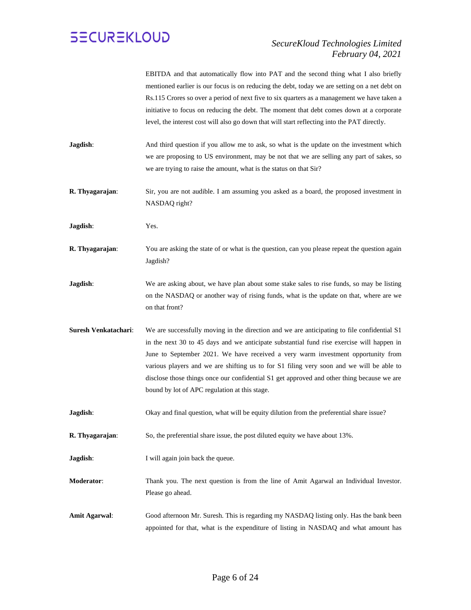#### *SecureKloud Technologies Limited February 04, 2021*

EBITDA and that automatically flow into PAT and the second thing what I also briefly mentioned earlier is our focus is on reducing the debt, today we are setting on a net debt on Rs.115 Crores so over a period of next five to six quarters as a management we have taken a initiative to focus on reducing the debt. The moment that debt comes down at a corporate level, the interest cost will also go down that will start reflecting into the PAT directly.

- **Jagdish:** And third question if you allow me to ask, so what is the update on the investment which we are proposing to US environment, may be not that we are selling any part of sakes, so we are trying to raise the amount, what is the status on that Sir?
- **R. Thyagarajan:** Sir, you are not audible. I am assuming you asked as a board, the proposed investment in NASDAQ right?
- **Jagdish**: Yes.
- **R. Thyagarajan:** You are asking the state of or what is the question, can you please repeat the question again Jagdish?
- **Jagdish**: We are asking about, we have plan about some stake sales to rise funds, so may be listing on the NASDAQ or another way of rising funds, what is the update on that, where are we on that front?
- **Suresh Venkatachari**: We are successfully moving in the direction and we are anticipating to file confidential S1 in the next 30 to 45 days and we anticipate substantial fund rise exercise will happen in June to September 2021. We have received a very warm investment opportunity from various players and we are shifting us to for S1 filing very soon and we will be able to disclose those things once our confidential S1 get approved and other thing because we are bound by lot of APC regulation at this stage.
- **Jagdish:** Okay and final question, what will be equity dilution from the preferential share issue?
- **R. Thyagarajan**: So, the preferential share issue, the post diluted equity we have about 13%.
- **Jagdish**: I will again join back the queue.
- **Moderator**: Thank you. The next question is from the line of Amit Agarwal an Individual Investor. Please go ahead.
- **Amit Agarwal**: Good afternoon Mr. Suresh. This is regarding my NASDAQ listing only. Has the bank been appointed for that, what is the expenditure of listing in NASDAQ and what amount has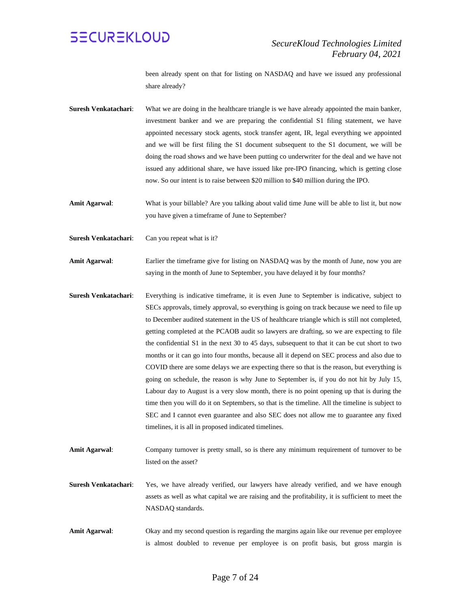

been already spent on that for listing on NASDAQ and have we issued any professional share already?

- **Suresh Venkatachari**: What we are doing in the healthcare triangle is we have already appointed the main banker, investment banker and we are preparing the confidential S1 filing statement, we have appointed necessary stock agents, stock transfer agent, IR, legal everything we appointed and we will be first filing the S1 document subsequent to the S1 document, we will be doing the road shows and we have been putting co underwriter for the deal and we have not issued any additional share, we have issued like pre-IPO financing, which is getting close now. So our intent is to raise between \$20 million to \$40 million during the IPO.
- **Amit Agarwal**: What is your billable? Are you talking about valid time June will be able to list it, but now you have given a timeframe of June to September?
- **Suresh Venkatachari:** Can you repeat what is it?
- **Amit Agarwal**: Earlier the timeframe give for listing on NASDAQ was by the month of June, now you are saying in the month of June to September, you have delayed it by four months?
- **Suresh Venkatachari**: Everything is indicative timeframe, it is even June to September is indicative, subject to SECs approvals, timely approval, so everything is going on track because we need to file up to December audited statement in the US of healthcare triangle which is still not completed, getting completed at the PCAOB audit so lawyers are drafting, so we are expecting to file the confidential S1 in the next 30 to 45 days, subsequent to that it can be cut short to two months or it can go into four months, because all it depend on SEC process and also due to COVID there are some delays we are expecting there so that is the reason, but everything is going on schedule, the reason is why June to September is, if you do not hit by July 15, Labour day to August is a very slow month, there is no point opening up that is during the time then you will do it on Septembers, so that is the timeline. All the timeline is subject to SEC and I cannot even guarantee and also SEC does not allow me to guarantee any fixed timelines, it is all in proposed indicated timelines.
- **Amit Agarwal**: Company turnover is pretty small, so is there any minimum requirement of turnover to be listed on the asset?
- **Suresh Venkatachari**: Yes, we have already verified, our lawyers have already verified, and we have enough assets as well as what capital we are raising and the profitability, it is sufficient to meet the NASDAQ standards.
- **Amit Agarwal**: Okay and my second question is regarding the margins again like our revenue per employee is almost doubled to revenue per employee is on profit basis, but gross margin is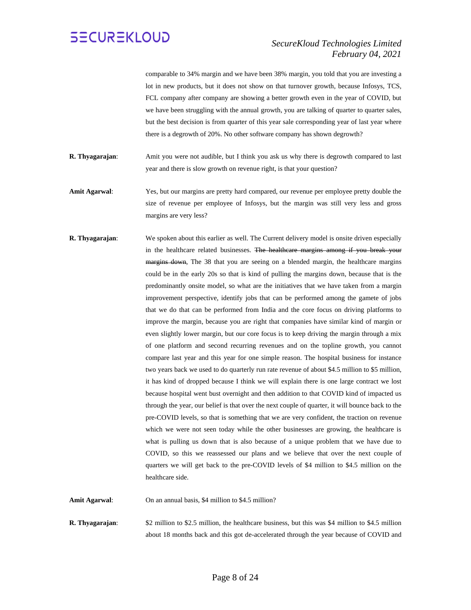#### *SecureKloud Technologies Limited February 04, 2021*

comparable to 34% margin and we have been 38% margin, you told that you are investing a lot in new products, but it does not show on that turnover growth, because Infosys, TCS, FCL company after company are showing a better growth even in the year of COVID, but we have been struggling with the annual growth, you are talking of quarter to quarter sales, but the best decision is from quarter of this year sale corresponding year of last year where there is a degrowth of 20%. No other software company has shown degrowth?

- **R. Thyagarajan**: Amit you were not audible, but I think you ask us why there is degrowth compared to last year and there is slow growth on revenue right, is that your question?
- **Amit Agarwal**: Yes, but our margins are pretty hard compared, our revenue per employee pretty double the size of revenue per employee of Infosys, but the margin was still very less and gross margins are very less?
- **R. Thyagarajan:** We spoken about this earlier as well. The Current delivery model is onsite driven especially in the healthcare related businesses. The healthcare margins among if you break your margins down, The 38 that you are seeing on a blended margin, the healthcare margins could be in the early 20s so that is kind of pulling the margins down, because that is the predominantly onsite model, so what are the initiatives that we have taken from a margin improvement perspective, identify jobs that can be performed among the gamete of jobs that we do that can be performed from India and the core focus on driving platforms to improve the margin, because you are right that companies have similar kind of margin or even slightly lower margin, but our core focus is to keep driving the margin through a mix of one platform and second recurring revenues and on the topline growth, you cannot compare last year and this year for one simple reason. The hospital business for instance two years back we used to do quarterly run rate revenue of about \$4.5 million to \$5 million, it has kind of dropped because I think we will explain there is one large contract we lost because hospital went bust overnight and then addition to that COVID kind of impacted us through the year, our belief is that over the next couple of quarter, it will bounce back to the pre-COVID levels, so that is something that we are very confident, the traction on revenue which we were not seen today while the other businesses are growing, the healthcare is what is pulling us down that is also because of a unique problem that we have due to COVID, so this we reassessed our plans and we believe that over the next couple of quarters we will get back to the pre-COVID levels of \$4 million to \$4.5 million on the healthcare side.

Amit Agarwal: On an annual basis, \$4 million to \$4.5 million?

**R. Thyagarajan:** \$2 million to \$2.5 million, the healthcare business, but this was \$4 million to \$4.5 million about 18 months back and this got de-accelerated through the year because of COVID and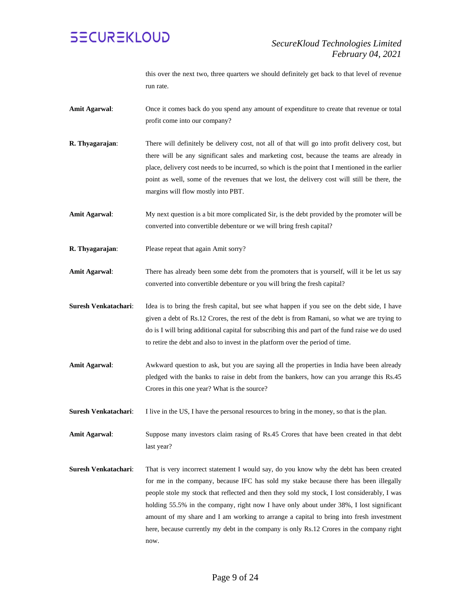

this over the next two, three quarters we should definitely get back to that level of revenue run rate.

- **Amit Agarwal**: Once it comes back do you spend any amount of expenditure to create that revenue or total profit come into our company?
- **R. Thyagarajan**: There will definitely be delivery cost, not all of that will go into profit delivery cost, but there will be any significant sales and marketing cost, because the teams are already in place, delivery cost needs to be incurred, so which is the point that I mentioned in the earlier point as well, some of the revenues that we lost, the delivery cost will still be there, the margins will flow mostly into PBT.
- **Amit Agarwal**: My next question is a bit more complicated Sir, is the debt provided by the promoter will be converted into convertible debenture or we will bring fresh capital?
- **R. Thyagarajan**: Please repeat that again Amit sorry?
- **Amit Agarwal**: There has already been some debt from the promoters that is yourself, will it be let us say converted into convertible debenture or you will bring the fresh capital?
- **Suresh Venkatachari**: Idea is to bring the fresh capital, but see what happen if you see on the debt side, I have given a debt of Rs.12 Crores, the rest of the debt is from Ramani, so what we are trying to do is I will bring additional capital for subscribing this and part of the fund raise we do used to retire the debt and also to invest in the platform over the period of time.
- Amit Agarwal: Awkward question to ask, but you are saying all the properties in India have been already pledged with the banks to raise in debt from the bankers, how can you arrange this Rs.45 Crores in this one year? What is the source?

**Suresh Venkatachari:** I live in the US, I have the personal resources to bring in the money, so that is the plan.

**Amit Agarwal**: Suppose many investors claim rasing of Rs.45 Crores that have been created in that debt last year?

**Suresh Venkatachari**: That is very incorrect statement I would say, do you know why the debt has been created for me in the company, because IFC has sold my stake because there has been illegally people stole my stock that reflected and then they sold my stock, I lost considerably, I was holding 55.5% in the company, right now I have only about under 38%, I lost significant amount of my share and I am working to arrange a capital to bring into fresh investment here, because currently my debt in the company is only Rs.12 Crores in the company right now.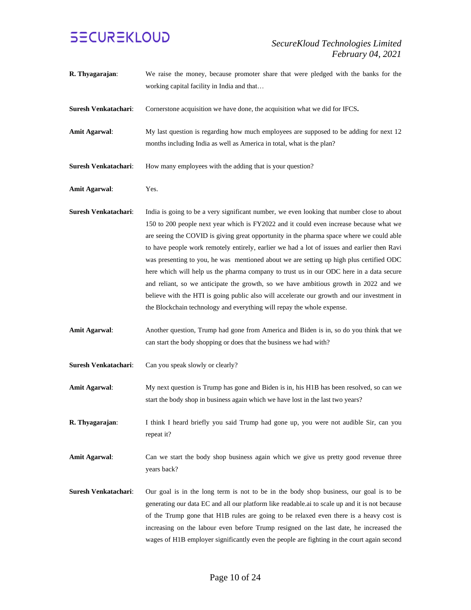#### *SecureKloud Technologies Limited February 04, 2021*

**R. Thyagarajan**: We raise the money, because promoter share that were pledged with the banks for the working capital facility in India and that… **Suresh Venkatachari**: Cornerstone acquisition we have done, the acquisition what we did for IFCS**. Amit Agarwal:** My last question is regarding how much employees are supposed to be adding for next 12 months including India as well as America in total, what is the plan? **Suresh Venkatachari:** How many employees with the adding that is your question? **Amit Agarwal**: Yes. **Suresh Venkatachari**: India is going to be a very significant number, we even looking that number close to about 150 to 200 people next year which is FY2022 and it could even increase because what we are seeing the COVID is giving great opportunity in the pharma space where we could able to have people work remotely entirely, earlier we had a lot of issues and earlier then Ravi was presenting to you, he was mentioned about we are setting up high plus certified ODC here which will help us the pharma company to trust us in our ODC here in a data secure and reliant, so we anticipate the growth, so we have ambitious growth in 2022 and we believe with the HTI is going public also will accelerate our growth and our investment in the Blockchain technology and everything will repay the whole expense. **Amit Agarwal**: Another question, Trump had gone from America and Biden is in, so do you think that we can start the body shopping or does that the business we had with? **Suresh Venkatachari:** Can you speak slowly or clearly? **Amit Agarwal**: My next question is Trump has gone and Biden is in, his H1B has been resolved, so can we start the body shop in business again which we have lost in the last two years? **R. Thyagarajan**: I think I heard briefly you said Trump had gone up, you were not audible Sir, can you repeat it? Amit Agarwal: Can we start the body shop business again which we give us pretty good revenue three years back? **Suresh Venkatachari**: Our goal is in the long term is not to be in the body shop business, our goal is to be generating our data EC and all our platform like readable.ai to scale up and it is not because of the Trump gone that H1B rules are going to be relaxed even there is a heavy cost is increasing on the labour even before Trump resigned on the last date, he increased the wages of H1B employer significantly even the people are fighting in the court again second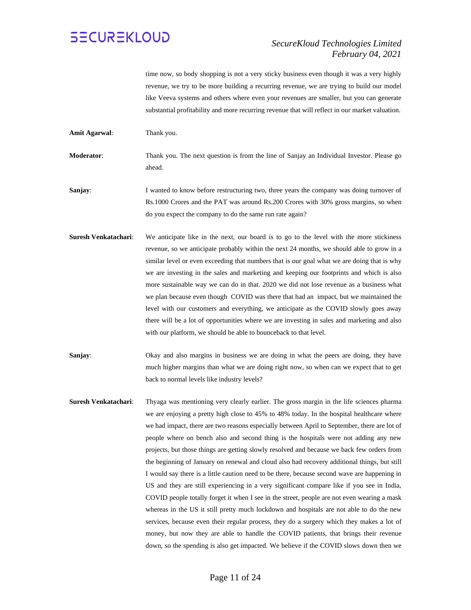#### *SecureKloud Technologies Limited February 04, 2021*

time now, so body shopping is not a very sticky business even though it was a very highly revenue, we try to be more building a recurring revenue, we are trying to build our model like Veeva systems and others where even your revenues are smaller, but you can generate substantial profitability and more recurring revenue that will reflect in our market valuation.

**Amit Agarwal**: Thank you.

**Moderator**: Thank you. The next question is from the line of Sanjay an Individual Investor. Please go ahead.

**Sanjay:** I wanted to know before restructuring two, three years the company was doing turnover of Rs.1000 Crores and the PAT was around Rs.200 Crores with 30% gross margins, so when do you expect the company to do the same run rate again?

- **Suresh Venkatachari**: We anticipate like in the next, our board is to go to the level with the more stickiness revenue, so we anticipate probably within the next 24 months, we should able to grow in a similar level or even exceeding that numbers that is our goal what we are doing that is why we are investing in the sales and marketing and keeping our footprints and which is also more sustainable way we can do in that. 2020 we did not lose revenue as a business what we plan because even though COVID was there that had an impact, but we maintained the level with our customers and everything, we anticipate as the COVID slowly goes away there will be a lot of opportunities where we are investing in sales and marketing and also with our platform, we should be able to bounceback to that level.
- **Sanjay:** Okay and also margins in business we are doing in what the peers are doing, they have much higher margins than what we are doing right now, so when can we expect that to get back to normal levels like industry levels?
- **Suresh Venkatachari**: Thyaga was mentioning very clearly earlier. The gross margin in the life sciences pharma we are enjoying a pretty high close to 45% to 48% today. In the hospital healthcare where we had impact, there are two reasons especially between April to September, there are lot of people where on bench also and second thing is the hospitals were not adding any new projects, but those things are getting slowly resolved and because we back few orders from the beginning of January on renewal and cloud also had recovery additional things, but still I would say there is a little caution need to be there, because second wave are happening in US and they are still experiencing in a very significant compare like if you see in India, COVID people totally forget it when I see in the street, people are not even wearing a mask whereas in the US it still pretty much lockdown and hospitals are not able to do the new services, because even their regular process, they do a surgery which they makes a lot of money, but now they are able to handle the COVID patients, that brings their revenue down, so the spending is also get impacted. We believe if the COVID slows down then we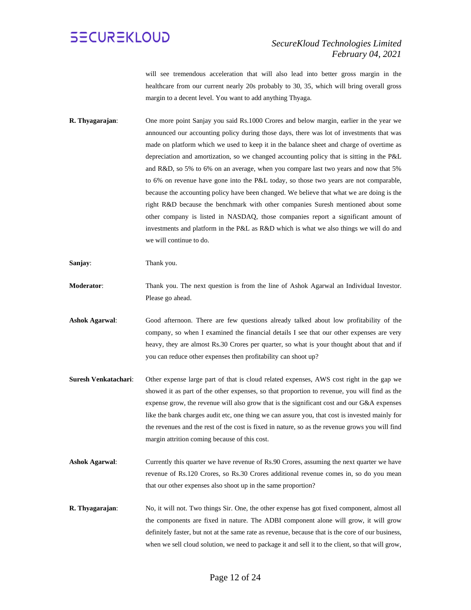

will see tremendous acceleration that will also lead into better gross margin in the healthcare from our current nearly 20s probably to 30, 35, which will bring overall gross margin to a decent level. You want to add anything Thyaga.

**R. Thyagarajan**: One more point Sanjay you said Rs.1000 Crores and below margin, earlier in the year we announced our accounting policy during those days, there was lot of investments that was made on platform which we used to keep it in the balance sheet and charge of overtime as depreciation and amortization, so we changed accounting policy that is sitting in the P&L and R&D, so 5% to 6% on an average, when you compare last two years and now that 5% to 6% on revenue have gone into the P&L today, so those two years are not comparable, because the accounting policy have been changed. We believe that what we are doing is the right R&D because the benchmark with other companies Suresh mentioned about some other company is listed in NASDAQ, those companies report a significant amount of investments and platform in the P&L as R&D which is what we also things we will do and we will continue to do.

**Sanjay**: Thank you.

- **Moderator**: Thank you. The next question is from the line of Ashok Agarwal an Individual Investor. Please go ahead.
- **Ashok Agarwal**: Good afternoon. There are few questions already talked about low profitability of the company, so when I examined the financial details I see that our other expenses are very heavy, they are almost Rs.30 Crores per quarter, so what is your thought about that and if you can reduce other expenses then profitability can shoot up?
- **Suresh Venkatachari**: Other expense large part of that is cloud related expenses, AWS cost right in the gap we showed it as part of the other expenses, so that proportion to revenue, you will find as the expense grow, the revenue will also grow that is the significant cost and our G&A expenses like the bank charges audit etc, one thing we can assure you, that cost is invested mainly for the revenues and the rest of the cost is fixed in nature, so as the revenue grows you will find margin attrition coming because of this cost.
- Ashok Agarwal: Currently this quarter we have revenue of Rs.90 Crores, assuming the next quarter we have revenue of Rs.120 Crores, so Rs.30 Crores additional revenue comes in, so do you mean that our other expenses also shoot up in the same proportion?
- **R. Thyagarajan**: No, it will not. Two things Sir. One, the other expense has got fixed component, almost all the components are fixed in nature. The ADBI component alone will grow, it will grow definitely faster, but not at the same rate as revenue, because that is the core of our business, when we sell cloud solution, we need to package it and sell it to the client, so that will grow,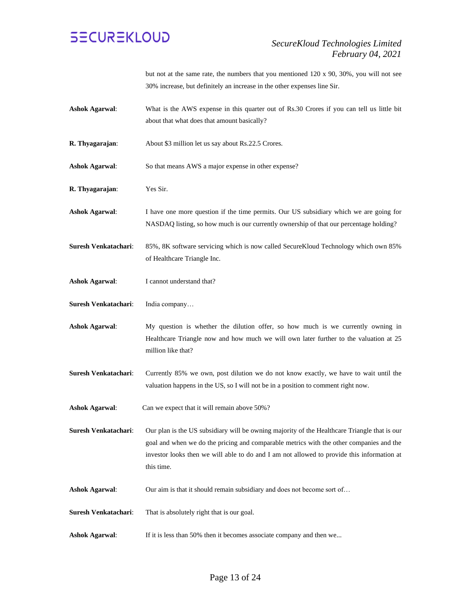

but not at the same rate, the numbers that you mentioned 120 x 90, 30%, you will not see 30% increase, but definitely an increase in the other expenses line Sir.

**Ashok Agarwal**: What is the AWS expense in this quarter out of Rs.30 Crores if you can tell us little bit about that what does that amount basically?

**R. Thyagarajan**: About \$3 million let us say about Rs.22.5 Crores.

- **Ashok Agarwal:** So that means AWS a major expense in other expense?
- **R. Thyagarajan**: Yes Sir.
- **Ashok Agarwal**: I have one more question if the time permits. Our US subsidiary which we are going for NASDAQ listing, so how much is our currently ownership of that our percentage holding?
- **Suresh Venkatachari**: 85%, 8K software servicing which is now called SecureKloud Technology which own 85% of Healthcare Triangle Inc.
- Ashok Agarwal: I cannot understand that?
- **Suresh Venkatachari**: India company…
- **Ashok Agarwal**: My question is whether the dilution offer, so how much is we currently owning in Healthcare Triangle now and how much we will own later further to the valuation at 25 million like that?
- **Suresh Venkatachari**: Currently 85% we own, post dilution we do not know exactly, we have to wait until the valuation happens in the US, so I will not be in a position to comment right now.
- **Ashok Agarwal**: Can we expect that it will remain above 50%?

**Suresh Venkatachari**: Our plan is the US subsidiary will be owning majority of the Healthcare Triangle that is our goal and when we do the pricing and comparable metrics with the other companies and the investor looks then we will able to do and I am not allowed to provide this information at this time.

- Ashok Agarwal: Our aim is that it should remain subsidiary and does not become sort of...
- **Suresh Venkatachari**: That is absolutely right that is our goal.
- **Ashok Agarwal:** If it is less than 50% then it becomes associate company and then we...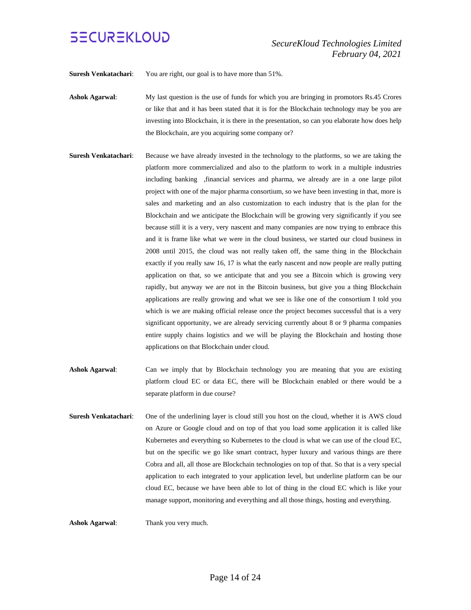

**Suresh Venkatachari:** You are right, our goal is to have more than 51%.

**Ashok Agarwal**: My last question is the use of funds for which you are bringing in promotors Rs.45 Crores or like that and it has been stated that it is for the Blockchain technology may be you are investing into Blockchain, it is there in the presentation, so can you elaborate how does help the Blockchain, are you acquiring some company or?

- **Suresh Venkatachari:** Because we have already invested in the technology to the platforms, so we are taking the platform more commercialized and also to the platform to work in a multiple industries including banking ,financial services and pharma, we already are in a one large pilot project with one of the major pharma consortium, so we have been investing in that, more is sales and marketing and an also customization to each industry that is the plan for the Blockchain and we anticipate the Blockchain will be growing very significantly if you see because still it is a very, very nascent and many companies are now trying to embrace this and it is frame like what we were in the cloud business, we started our cloud business in 2008 until 2015, the cloud was not really taken off, the same thing in the Blockchain exactly if you really saw 16, 17 is what the early nascent and now people are really putting application on that, so we anticipate that and you see a Bitcoin which is growing very rapidly, but anyway we are not in the Bitcoin business, but give you a thing Blockchain applications are really growing and what we see is like one of the consortium I told you which is we are making official release once the project becomes successful that is a very significant opportunity, we are already servicing currently about 8 or 9 pharma companies entire supply chains logistics and we will be playing the Blockchain and hosting those applications on that Blockchain under cloud.
- **Ashok Agarwal:** Can we imply that by Blockchain technology you are meaning that you are existing platform cloud EC or data EC, there will be Blockchain enabled or there would be a separate platform in due course?
- **Suresh Venkatachari**: One of the underlining layer is cloud still you host on the cloud, whether it is AWS cloud on Azure or Google cloud and on top of that you load some application it is called like Kubernetes and everything so Kubernetes to the cloud is what we can use of the cloud EC, but on the specific we go like smart contract, hyper luxury and various things are there Cobra and all, all those are Blockchain technologies on top of that. So that is a very special application to each integrated to your application level, but underline platform can be our cloud EC, because we have been able to lot of thing in the cloud EC which is like your manage support, monitoring and everything and all those things, hosting and everything.

**Ashok Agarwal**: Thank you very much.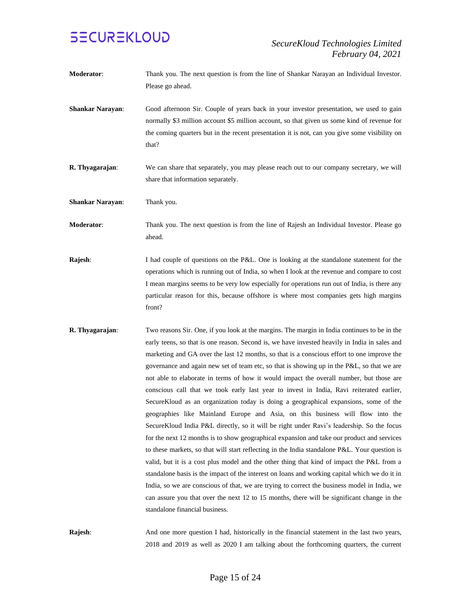

- **Moderator:** Thank you. The next question is from the line of Shankar Narayan an Individual Investor. Please go ahead.
- **Shankar Narayan**: Good afternoon Sir. Couple of years back in your investor presentation, we used to gain normally \$3 million account \$5 million account, so that given us some kind of revenue for the coming quarters but in the recent presentation it is not, can you give some visibility on that?
- **R. Thyagarajan:** We can share that separately, you may please reach out to our company secretary, we will share that information separately.
- **Shankar Narayan**: Thank you.
- **Moderator**: Thank you. The next question is from the line of Rajesh an Individual Investor. Please go ahead.
- **Rajesh:** I had couple of questions on the P&L. One is looking at the standalone statement for the operations which is running out of India, so when I look at the revenue and compare to cost I mean margins seems to be very low especially for operations run out of India, is there any particular reason for this, because offshore is where most companies gets high margins front?
- **R. Thyagarajan**: Two reasons Sir. One, if you look at the margins. The margin in India continues to be in the early teens, so that is one reason. Second is, we have invested heavily in India in sales and marketing and GA over the last 12 months, so that is a conscious effort to one improve the governance and again new set of team etc, so that is showing up in the P&L, so that we are not able to elaborate in terms of how it would impact the overall number, but those are conscious call that we took early last year to invest in India, Ravi reiterated earlier, SecureKloud as an organization today is doing a geographical expansions, some of the geographies like Mainland Europe and Asia, on this business will flow into the SecureKloud India P&L directly, so it will be right under Ravi's leadership. So the focus for the next 12 months is to show geographical expansion and take our product and services to these markets, so that will start reflecting in the India standalone P&L. Your question is valid, but it is a cost plus model and the other thing that kind of impact the P&L from a standalone basis is the impact of the interest on loans and working capital which we do it in India, so we are conscious of that, we are trying to correct the business model in India, we can assure you that over the next 12 to 15 months, there will be significant change in the standalone financial business.

**Rajesh:** And one more question I had, historically in the financial statement in the last two years, 2018 and 2019 as well as 2020 I am talking about the forthcoming quarters, the current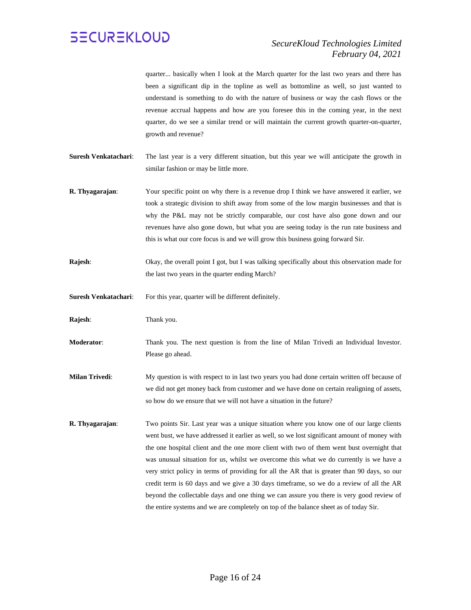

quarter... basically when I look at the March quarter for the last two years and there has been a significant dip in the topline as well as bottomline as well, so just wanted to understand is something to do with the nature of business or way the cash flows or the revenue accrual happens and how are you foresee this in the coming year, in the next quarter, do we see a similar trend or will maintain the current growth quarter-on-quarter, growth and revenue?

- **Suresh Venkatachari**: The last year is a very different situation, but this year we will anticipate the growth in similar fashion or may be little more.
- **R. Thyagarajan**: Your specific point on why there is a revenue drop I think we have answered it earlier, we took a strategic division to shift away from some of the low margin businesses and that is why the P&L may not be strictly comparable, our cost have also gone down and our revenues have also gone down, but what you are seeing today is the run rate business and this is what our core focus is and we will grow this business going forward Sir.
- **Rajesh:** Okay, the overall point I got, but I was talking specifically about this observation made for the last two years in the quarter ending March?
- Suresh Venkatachari: For this year, quarter will be different definitely.

**Rajesh**: Thank you.

- **Moderator**: Thank you. The next question is from the line of Milan Trivedi an Individual Investor. Please go ahead.
- **Milan Trivedi**: My question is with respect to in last two years you had done certain written off because of we did not get money back from customer and we have done on certain realigning of assets, so how do we ensure that we will not have a situation in the future?
- **R. Thyagarajan**: Two points Sir. Last year was a unique situation where you know one of our large clients went bust, we have addressed it earlier as well, so we lost significant amount of money with the one hospital client and the one more client with two of them went bust overnight that was unusual situation for us, whilst we overcome this what we do currently is we have a very strict policy in terms of providing for all the AR that is greater than 90 days, so our credit term is 60 days and we give a 30 days timeframe, so we do a review of all the AR beyond the collectable days and one thing we can assure you there is very good review of the entire systems and we are completely on top of the balance sheet as of today Sir.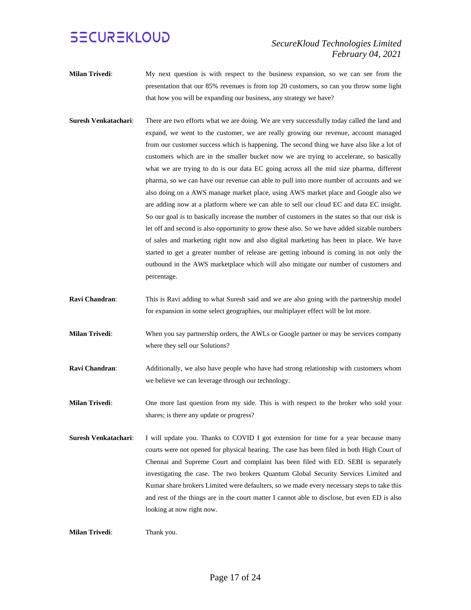#### *SecureKloud Technologies Limited February 04, 2021*

- **Milan Trivedi**: My next question is with respect to the business expansion, so we can see from the presentation that our 85% revenues is from top 20 customers, so can you throw some light that how you will be expanding our business, any strategy we have?
- **Suresh Venkatachari**: There are two efforts what we are doing. We are very successfully today called the land and expand, we went to the customer, we are really growing our revenue, account managed from our customer success which is happening. The second thing we have also like a lot of customers which are in the smaller bucket now we are trying to accelerate, so basically what we are trying to do is our data EC going across all the mid size pharma, different pharma, so we can have our revenue can able to pull into more number of accounts and we also doing on a AWS manage market place, using AWS market place and Google also we are adding now at a platform where we can able to sell our cloud EC and data EC insight. So our goal is to basically increase the number of customers in the states so that our risk is let off and second is also opportunity to grow these also. So we have added sizable numbers of sales and marketing right now and also digital marketing has been in place. We have started to get a greater number of release are getting inbound is coming in not only the outbound in the AWS marketplace which will also mitigate our number of customers and percentage.
- **Ravi Chandran**: This is Ravi adding to what Suresh said and we are also going with the partnership model for expansion in some select geographies, our multiplayer effect will be lot more.
- **Milan Trivedi**: When you say partnership orders, the AWLs or Google partner or may be services company where they sell our Solutions?
- **Ravi Chandran:** Additionally, we also have people who have had strong relationship with customers whom we believe we can leverage through our technology.
- **Milan Trivedi**: One more last question from my side. This is with respect to the broker who sold your shares; is there any update or progress?
- **Suresh Venkatachari**: I will update you. Thanks to COVID I got extension for time for a year because many courts were not opened for physical hearing. The case has been filed in both High Court of Chennai and Supreme Court and complaint has been filed with ED. SEBI is separately investigating the case. The two brokers Quantum Global Security Services Limited and Kumar share brokers Limited were defaulters, so we made every necessary steps to take this and rest of the things are in the court matter I cannot able to disclose, but even ED is also looking at now right now.

**Milan Trivedi**: Thank you.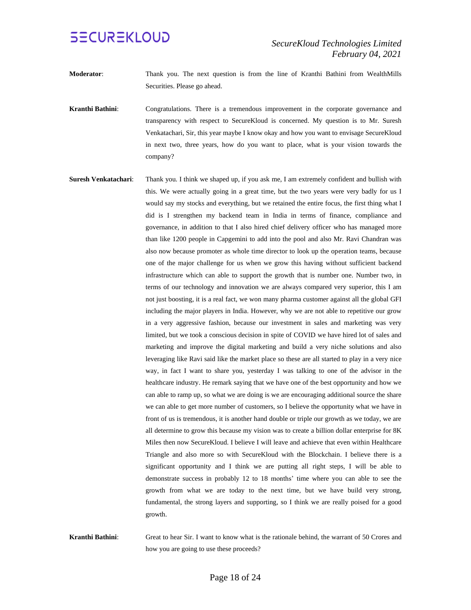- **Moderator**: Thank you. The next question is from the line of Kranthi Bathini from WealthMills Securities. Please go ahead.
- **Kranthi Bathini**: Congratulations. There is a tremendous improvement in the corporate governance and transparency with respect to SecureKloud is concerned. My question is to Mr. Suresh Venkatachari, Sir, this year maybe I know okay and how you want to envisage SecureKloud in next two, three years, how do you want to place, what is your vision towards the company?
- **Suresh Venkatachari**: Thank you. I think we shaped up, if you ask me, I am extremely confident and bullish with this. We were actually going in a great time, but the two years were very badly for us I would say my stocks and everything, but we retained the entire focus, the first thing what I did is I strengthen my backend team in India in terms of finance, compliance and governance, in addition to that I also hired chief delivery officer who has managed more than like 1200 people in Capgemini to add into the pool and also Mr. Ravi Chandran was also now because promoter as whole time director to look up the operation teams, because one of the major challenge for us when we grow this having without sufficient backend infrastructure which can able to support the growth that is number one. Number two, in terms of our technology and innovation we are always compared very superior, this I am not just boosting, it is a real fact, we won many pharma customer against all the global GFI including the major players in India. However, why we are not able to repetitive our grow in a very aggressive fashion, because our investment in sales and marketing was very limited, but we took a conscious decision in spite of COVID we have hired lot of sales and marketing and improve the digital marketing and build a very niche solutions and also leveraging like Ravi said like the market place so these are all started to play in a very nice way, in fact I want to share you, yesterday I was talking to one of the advisor in the healthcare industry. He remark saying that we have one of the best opportunity and how we can able to ramp up, so what we are doing is we are encouraging additional source the share we can able to get more number of customers, so I believe the opportunity what we have in front of us is tremendous, it is another hand double or triple our growth as we today, we are all determine to grow this because my vision was to create a billion dollar enterprise for 8K Miles then now SecureKloud. I believe I will leave and achieve that even within Healthcare Triangle and also more so with SecureKloud with the Blockchain. I believe there is a significant opportunity and I think we are putting all right steps, I will be able to demonstrate success in probably 12 to 18 months' time where you can able to see the growth from what we are today to the next time, but we have build very strong, fundamental, the strong layers and supporting, so I think we are really poised for a good growth.
- **Kranthi Bathini**: Great to hear Sir. I want to know what is the rationale behind, the warrant of 50 Crores and how you are going to use these proceeds?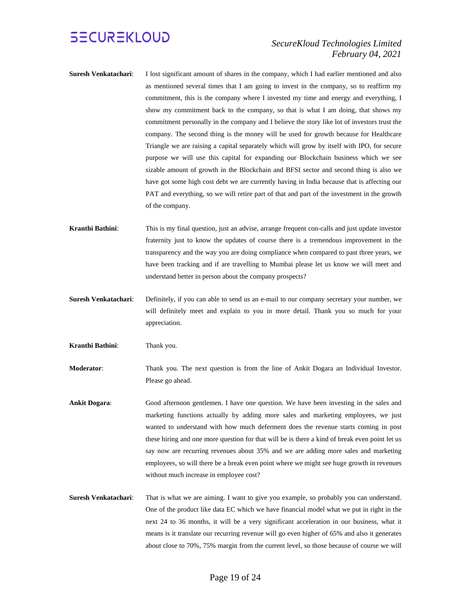#### *SecureKloud Technologies Limited February 04, 2021*

- **Suresh Venkatachari**: I lost significant amount of shares in the company, which I had earlier mentioned and also as mentioned several times that I am going to invest in the company, so to reaffirm my commitment, this is the company where I invested my time and energy and everything, I show my commitment back to the company, so that is what I am doing, that shows my commitment personally in the company and I believe the story like lot of investors trust the company. The second thing is the money will be used for growth because for Healthcare Triangle we are raising a capital separately which will grow by itself with IPO, for secure purpose we will use this capital for expanding our Blockchain business which we see sizable amount of growth in the Blockchain and BFSI sector and second thing is also we have got some high cost debt we are currently having in India because that is affecting our PAT and everything, so we will retire part of that and part of the investment in the growth of the company.
- **Kranthi Bathini**: This is my final question, just an advise, arrange frequent con-calls and just update investor fraternity just to know the updates of course there is a tremendous improvement in the transparency and the way you are doing compliance when compared to past three years, we have been tracking and if are travelling to Mumbai please let us know we will meet and understand better in person about the company prospects?
- **Suresh Venkatachari**: Definitely, if you can able to send us an e-mail to our company secretary your number, we will definitely meet and explain to you in more detail. Thank you so much for your appreciation.
- **Kranthi Bathini**: Thank you.

**Moderator**: Thank you. The next question is from the line of Ankit Dogara an Individual Investor. Please go ahead.

- **Ankit Dogara:** Good afternoon gentlemen. I have one question. We have been investing in the sales and marketing functions actually by adding more sales and marketing employees, we just wanted to understand with how much deferment does the revenue starts coming in post these hiring and one more question for that will be is there a kind of break even point let us say now are recurring revenues about 35% and we are adding more sales and marketing employees, so will there be a break even point where we might see huge growth in revenues without much increase in employee cost?
- **Suresh Venkatachari**: That is what we are aiming. I want to give you example, so probably you can understand. One of the product like data EC which we have financial model what we put in right in the next 24 to 36 months, it will be a very significant acceleration in our business, what it means is it translate our recurring revenue will go even higher of 65% and also it generates about close to 70%, 75% margin from the current level, so those because of course we will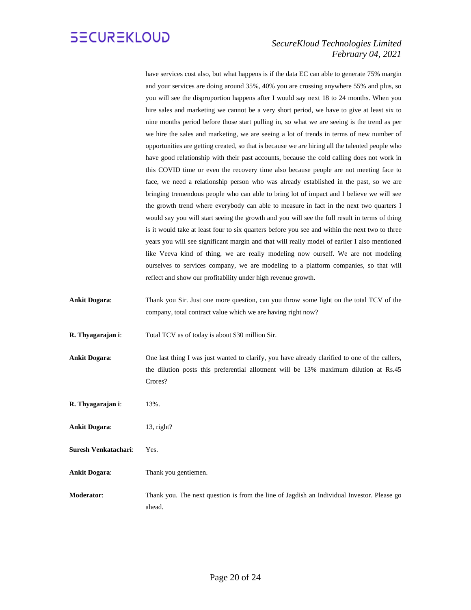

#### *SecureKloud Technologies Limited February 04, 2021*

have services cost also, but what happens is if the data EC can able to generate 75% margin and your services are doing around 35%, 40% you are crossing anywhere 55% and plus, so you will see the disproportion happens after I would say next 18 to 24 months. When you hire sales and marketing we cannot be a very short period, we have to give at least six to nine months period before those start pulling in, so what we are seeing is the trend as per we hire the sales and marketing, we are seeing a lot of trends in terms of new number of opportunities are getting created, so that is because we are hiring all the talented people who have good relationship with their past accounts, because the cold calling does not work in this COVID time or even the recovery time also because people are not meeting face to face, we need a relationship person who was already established in the past, so we are bringing tremendous people who can able to bring lot of impact and I believe we will see the growth trend where everybody can able to measure in fact in the next two quarters I would say you will start seeing the growth and you will see the full result in terms of thing is it would take at least four to six quarters before you see and within the next two to three years you will see significant margin and that will really model of earlier I also mentioned like Veeva kind of thing, we are really modeling now ourself. We are not modeling ourselves to services company, we are modeling to a platform companies, so that will reflect and show our profitability under high revenue growth.

**Ankit Dogara**: Thank you Sir. Just one more question, can you throw some light on the total TCV of the company, total contract value which we are having right now?

**R. Thyagarajan i**: Total TCV as of today is about \$30 million Sir.

- **Ankit Dogara**: One last thing I was just wanted to clarify, you have already clarified to one of the callers, the dilution posts this preferential allotment will be 13% maximum dilution at Rs.45 Crores?
- **R. Thyagarajan i**: 13%.
- **Ankit Dogara:** 13, right?
- **Suresh Venkatachari**: Yes.
- **Ankit Dogara**: Thank you gentlemen.
- **Moderator**: Thank you. The next question is from the line of Jagdish an Individual Investor. Please go ahead.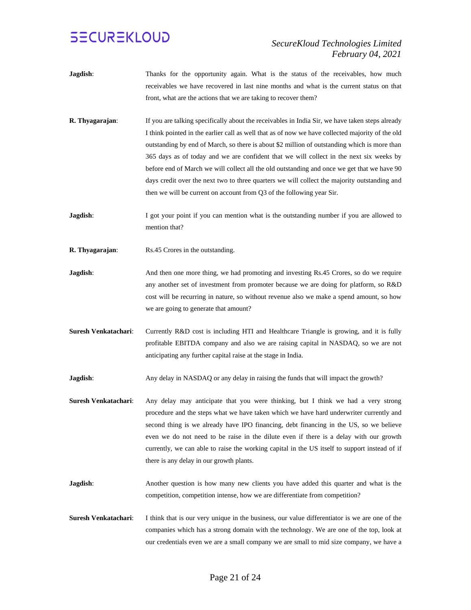- **Jagdish**: Thanks for the opportunity again. What is the status of the receivables, how much receivables we have recovered in last nine months and what is the current status on that front, what are the actions that we are taking to recover them?
- **R. Thyagarajan:** If you are talking specifically about the receivables in India Sir, we have taken steps already I think pointed in the earlier call as well that as of now we have collected majority of the old outstanding by end of March, so there is about \$2 million of outstanding which is more than 365 days as of today and we are confident that we will collect in the next six weeks by before end of March we will collect all the old outstanding and once we get that we have 90 days credit over the next two to three quarters we will collect the majority outstanding and then we will be current on account from Q3 of the following year Sir.
- **Jagdish:** I got your point if you can mention what is the outstanding number if you are allowed to mention that?
- **R. Thyagarajan:** Rs.45 Crores in the outstanding.
- **Jagdish:** And then one more thing, we had promoting and investing Rs.45 Crores, so do we require any another set of investment from promoter because we are doing for platform, so R&D cost will be recurring in nature, so without revenue also we make a spend amount, so how we are going to generate that amount?
- **Suresh Venkatachari**: Currently R&D cost is including HTI and Healthcare Triangle is growing, and it is fully profitable EBITDA company and also we are raising capital in NASDAQ, so we are not anticipating any further capital raise at the stage in India.
- **Jagdish:** Any delay in NASDAQ or any delay in raising the funds that will impact the growth?
- **Suresh Venkatachari**: Any delay may anticipate that you were thinking, but I think we had a very strong procedure and the steps what we have taken which we have hard underwriter currently and second thing is we already have IPO financing, debt financing in the US, so we believe even we do not need to be raise in the dilute even if there is a delay with our growth currently, we can able to raise the working capital in the US itself to support instead of if there is any delay in our growth plants.
- **Jagdish:** Another question is how many new clients you have added this quarter and what is the competition, competition intense, how we are differentiate from competition?
- **Suresh Venkatachari:** I think that is our very unique in the business, our value differentiator is we are one of the companies which has a strong domain with the technology. We are one of the top, look at our credentials even we are a small company we are small to mid size company, we have a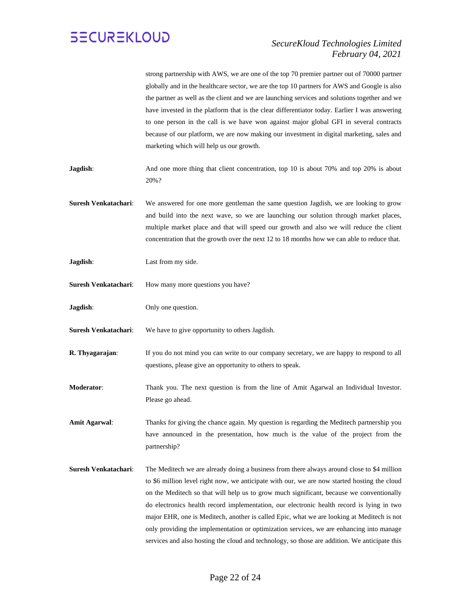

#### *SecureKloud Technologies Limited February 04, 2021*

| strong partnership with AWS, we are one of the top 70 premier partner out of 70000 partner    |
|-----------------------------------------------------------------------------------------------|
| globally and in the healthcare sector, we are the top 10 partners for AWS and Google is also  |
| the partner as well as the client and we are launching services and solutions together and we |
| have invested in the platform that is the clear differentiator today. Earlier I was answering |
| to one person in the call is we have won against major global GFI in several contracts        |
| because of our platform, we are now making our investment in digital marketing, sales and     |
| marketing which will help us our growth.                                                      |

- **Jagdish:** And one more thing that client concentration, top 10 is about 70% and top 20% is about 20%?
- **Suresh Venkatachari**: We answered for one more gentleman the same question Jagdish, we are looking to grow and build into the next wave, so we are launching our solution through market places, multiple market place and that will speed our growth and also we will reduce the client concentration that the growth over the next 12 to 18 months how we can able to reduce that.
- **Jagdish**: Last from my side.
- **Suresh Venkatachari:** How many more questions you have?
- **Jagdish:** Only one question.
- **Suresh Venkatachari**: We have to give opportunity to others Jagdish.

**R. Thyagarajan:** If you do not mind you can write to our company secretary, we are happy to respond to all questions, please give an opportunity to others to speak.

**Moderator**: Thank you. The next question is from the line of Amit Agarwal an Individual Investor. Please go ahead.

**Amit Agarwal**: Thanks for giving the chance again. My question is regarding the Meditech partnership you have announced in the presentation, how much is the value of the project from the partnership?

**Suresh Venkatachari**: The Meditech we are already doing a business from there always around close to \$4 million to \$6 million level right now, we anticipate with our, we are now started hosting the cloud on the Meditech so that will help us to grow much significant, because we conventionally do electronics health record implementation, our electronic health record is lying in two major EHR, one is Meditech, another is called Epic, what we are looking at Meditech is not only providing the implementation or optimization services, we are enhancing into manage services and also hosting the cloud and technology, so those are addition. We anticipate this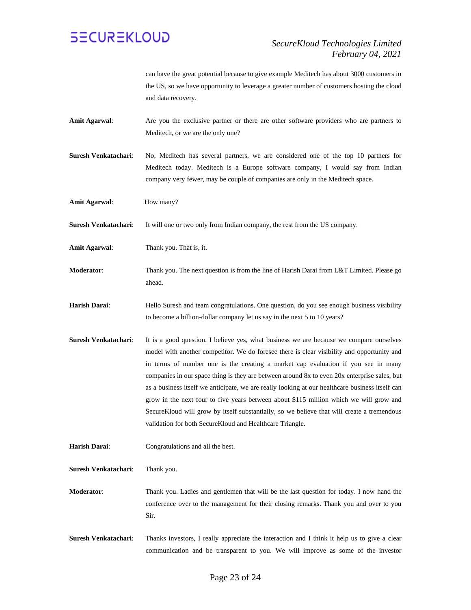

can have the great potential because to give example Meditech has about 3000 customers in the US, so we have opportunity to leverage a greater number of customers hosting the cloud and data recovery.

- **Amit Agarwal**: Are you the exclusive partner or there are other software providers who are partners to Meditech, or we are the only one?
- **Suresh Venkatachari**: No, Meditech has several partners, we are considered one of the top 10 partners for Meditech today. Meditech is a Europe software company, I would say from Indian company very fewer, may be couple of companies are only in the Meditech space.
- Amit Agarwal: **How many?**

**Suresh Venkatachari**: It will one or two only from Indian company, the rest from the US company.

- **Amit Agarwal**: Thank you. That is, it.
- **Moderator**: Thank you. The next question is from the line of Harish Darai from L&T Limited. Please go ahead.
- Harish Darai: Hello Suresh and team congratulations. One question, do you see enough business visibility to become a billion-dollar company let us say in the next 5 to 10 years?
- **Suresh Venkatachari:** It is a good question. I believe yes, what business we are because we compare ourselves model with another competitor. We do foresee there is clear visibility and opportunity and in terms of number one is the creating a market cap evaluation if you see in many companies in our space thing is they are between around 8x to even 20x enterprise sales, but as a business itself we anticipate, we are really looking at our healthcare business itself can grow in the next four to five years between about \$115 million which we will grow and SecureKloud will grow by itself substantially, so we believe that will create a tremendous validation for both SecureKloud and Healthcare Triangle.
- **Harish Darai**: Congratulations and all the best.

**Suresh Venkatachari**: Thank you.

**Moderator**: Thank you. Ladies and gentlemen that will be the last question for today. I now hand the conference over to the management for their closing remarks. Thank you and over to you Sir.

**Suresh Venkatachari**: Thanks investors, I really appreciate the interaction and I think it help us to give a clear communication and be transparent to you. We will improve as some of the investor